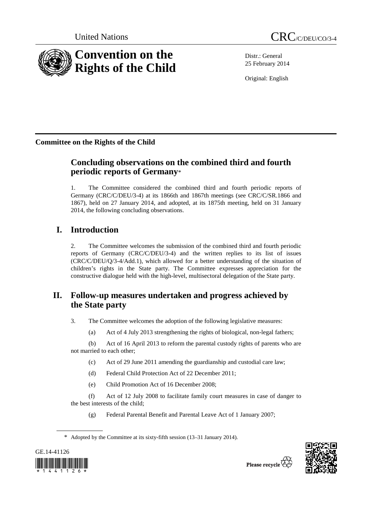

Distr.: General 25 February 2014

Original: English

**Committee on the Rights of the Child** 

# **Concluding observations on the combined third and fourth periodic reports of Germany**\*

1. The Committee considered the combined third and fourth periodic reports of Germany (CRC/C/DEU/3-4) at its 1866th and 1867th meetings (see CRC/C/SR.1866 and 1867), held on 27 January 2014, and adopted, at its 1875th meeting, held on 31 January 2014, the following concluding observations.

# **I. Introduction**

2. The Committee welcomes the submission of the combined third and fourth periodic reports of Germany (CRC/C/DEU/3-4) and the written replies to its list of issues (CRC/C/DEU/Q/3-4/Add.1), which allowed for a better understanding of the situation of children's rights in the State party. The Committee expresses appreciation for the constructive dialogue held with the high-level, multisectoral delegation of the State party.

# **II. Follow-up measures undertaken and progress achieved by the State party**

3. The Committee welcomes the adoption of the following legislative measures:

(a) Act of 4 July 2013 strengthening the rights of biological, non-legal fathers;

(b) Act of 16 April 2013 to reform the parental custody rights of parents who are not married to each other;

- (c) Act of 29 June 2011 amending the guardianship and custodial care law;
- (d) Federal Child Protection Act of 22 December 2011;
- (e) Child Promotion Act of 16 December 2008;

(f) Act of 12 July 2008 to facilitate family court measures in case of danger to the best interests of the child;

(g) Federal Parental Benefit and Parental Leave Act of 1 January 2007;





<sup>\*</sup> Adopted by the Committee at its sixty-fifth session (13–31 January 2014).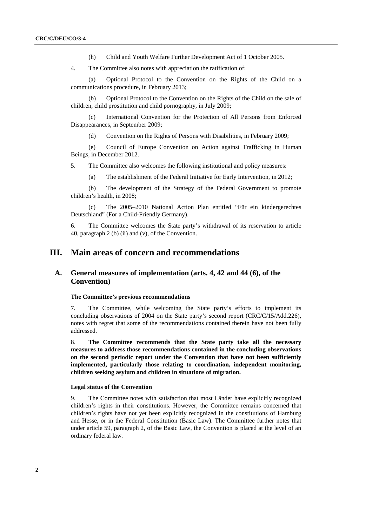(h) Child and Youth Welfare Further Development Act of 1 October 2005.

4. The Committee also notes with appreciation the ratification of:

(a) Optional Protocol to the Convention on the Rights of the Child on a communications procedure, in February 2013;

(b) Optional Protocol to the Convention on the Rights of the Child on the sale of children, child prostitution and child pornography, in July 2009;

(c) International Convention for the Protection of All Persons from Enforced Disappearances, in September 2009;

(d) Convention on the Rights of Persons with Disabilities, in February 2009;

(e) Council of Europe Convention on Action against Trafficking in Human Beings, in December 2012.

5. The Committee also welcomes the following institutional and policy measures:

(a) The establishment of the Federal Initiative for Early Intervention, in 2012;

(b) The development of the Strategy of the Federal Government to promote children's health, in 2008;

(c) The 2005–2010 National Action Plan entitled "Für ein kindergerechtes Deutschland" (For a Child-Friendly Germany).

6. The Committee welcomes the State party's withdrawal of its reservation to article 40, paragraph 2 (b) (ii) and (v), of the Convention.

## **III. Main areas of concern and recommendations**

## **A. General measures of implementation (arts. 4, 42 and 44 (6), of the Convention)**

#### **The Committee's previous recommendations**

7. The Committee, while welcoming the State party's efforts to implement its concluding observations of 2004 on the State party's second report (CRC/C/15/Add.226), notes with regret that some of the recommendations contained therein have not been fully addressed.

8. **The Committee recommends that the State party take all the necessary measures to address those recommendations contained in the concluding observations on the second periodic report under the Convention that have not been sufficiently implemented, particularly those relating to coordination, independent monitoring, children seeking asylum and children in situations of migration.** 

### **Legal status of the Convention**

9. The Committee notes with satisfaction that most Länder have explicitly recognized children's rights in their constitutions. However, the Committee remains concerned that children's rights have not yet been explicitly recognized in the constitutions of Hamburg and Hesse, or in the Federal Constitution (Basic Law). The Committee further notes that under article 59, paragraph 2, of the Basic Law, the Convention is placed at the level of an ordinary federal law.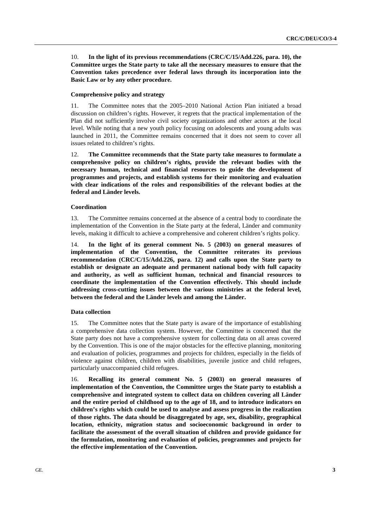10. **In the light of its previous recommendations (CRC/C/15/Add.226, para. 10), the Committee urges the State party to take all the necessary measures to ensure that the Convention takes precedence over federal laws through its incorporation into the Basic Law or by any other procedure.** 

#### **Comprehensive policy and strategy**

11. The Committee notes that the 2005–2010 National Action Plan initiated a broad discussion on children's rights. However, it regrets that the practical implementation of the Plan did not sufficiently involve civil society organizations and other actors at the local level. While noting that a new youth policy focusing on adolescents and young adults was launched in 2011, the Committee remains concerned that it does not seem to cover all issues related to children's rights.

12. **The Committee recommends that the State party take measures to formulate a comprehensive policy on children's rights, provide the relevant bodies with the necessary human, technical and financial resources to guide the development of programmes and projects, and establish systems for their monitoring and evaluation with clear indications of the roles and responsibilities of the relevant bodies at the federal and Länder levels.** 

#### **Coordination**

13. The Committee remains concerned at the absence of a central body to coordinate the implementation of the Convention in the State party at the federal, Länder and community levels, making it difficult to achieve a comprehensive and coherent children's rights policy.

14. **In the light of its general comment No. 5 (2003) on general measures of implementation of the Convention, the Committee reiterates its previous recommendation (CRC/C/15/Add.226, para. 12) and calls upon the State party to establish or designate an adequate and permanent national body with full capacity and authority, as well as sufficient human, technical and financial resources to coordinate the implementation of the Convention effectively. This should include addressing cross-cutting issues between the various ministries at the federal level, between the federal and the Länder levels and among the Länder.** 

#### **Data collection**

15. The Committee notes that the State party is aware of the importance of establishing a comprehensive data collection system. However, the Committee is concerned that the State party does not have a comprehensive system for collecting data on all areas covered by the Convention. This is one of the major obstacles for the effective planning, monitoring and evaluation of policies, programmes and projects for children, especially in the fields of violence against children, children with disabilities, juvenile justice and child refugees, particularly unaccompanied child refugees.

16. **Recalling its general comment No. 5 (2003) on general measures of implementation of the Convention, the Committee urges the State party to establish a comprehensive and integrated system to collect data on children covering all Länder and the entire period of childhood up to the age of 18, and to introduce indicators on children's rights which could be used to analyse and assess progress in the realization of those rights. The data should be disaggregated by age, sex, disability, geographical location, ethnicity, migration status and socioeconomic background in order to facilitate the assessment of the overall situation of children and provide guidance for the formulation, monitoring and evaluation of policies, programmes and projects for the effective implementation of the Convention.**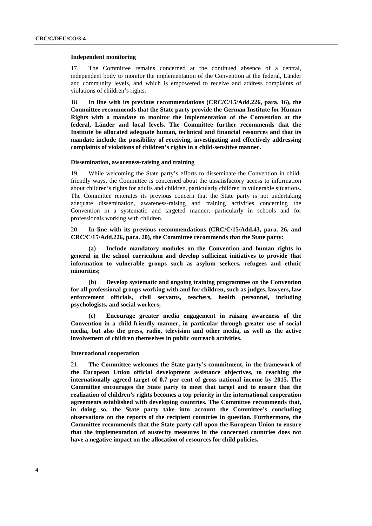#### **Independent monitoring**

17. The Committee remains concerned at the continued absence of a central, independent body to monitor the implementation of the Convention at the federal, Länder and community levels, and which is empowered to receive and address complaints of violations of children's rights.

18. **In line with its previous recommendations (CRC/C/15/Add.226, para. 16), the Committee recommends that the State party provide the German Institute for Human Rights with a mandate to monitor the implementation of the Convention at the federal, Länder and local levels. The Committee further recommends that the Institute be allocated adequate human, technical and financial resources and that its mandate include the possibility of receiving, investigating and effectively addressing complaints of violations of children's rights in a child-sensitive manner.** 

#### **Dissemination, awareness-raising and training**

19. While welcoming the State party's efforts to disseminate the Convention in childfriendly ways, the Committee is concerned about the unsatisfactory access to information about children's rights for adults and children, particularly children in vulnerable situations. The Committee reiterates its previous concern that the State party is not undertaking adequate dissemination, awareness-raising and training activities concerning the Convention in a systematic and targeted manner, particularly in schools and for professionals working with children.

20. **In line with its previous recommendations (CRC/C/15/Add.43, para. 26, and CRC/C/15/Add.226, para. 20), the Committee recommends that the State party:** 

**(a) Include mandatory modules on the Convention and human rights in general in the school curriculum and develop sufficient initiatives to provide that information to vulnerable groups such as asylum seekers, refugees and ethnic minorities;** 

**(b) Develop systematic and ongoing training programmes on the Convention for all professional groups working with and for children, such as judges, lawyers, law enforcement officials, civil servants, teachers, health personnel, including psychologists, and social workers;** 

**(c) Encourage greater media engagement in raising awareness of the Convention in a child-friendly manner, in particular through greater use of social media, but also the press, radio, television and other media, as well as the active involvement of children themselves in public outreach activities.** 

#### **International cooperation**

21. **The Committee welcomes the State party's commitment, in the framework of the European Union official development assistance objectives, to reaching the internationally agreed target of 0.7 per cent of gross national income by 2015. The Committee encourages the State party to meet that target and to ensure that the realization of children's rights becomes a top priority in the international cooperation agreements established with developing countries. The Committee recommends that, in doing so, the State party take into account the Committee's concluding observations on the reports of the recipient countries in question. Furthermore, the Committee recommends that the State party call upon the European Union to ensure that the implementation of austerity measures in the concerned countries does not have a negative impact on the allocation of resources for child policies.**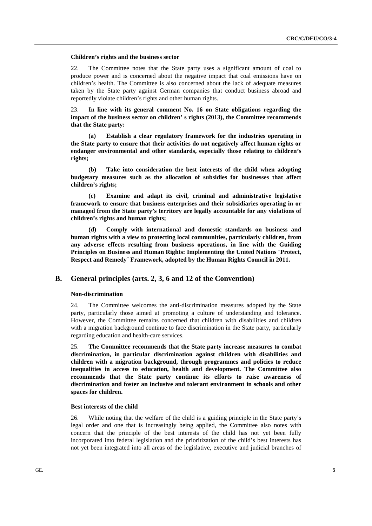#### **Children's rights and the business sector**

22. The Committee notes that the State party uses a significant amount of coal to produce power and is concerned about the negative impact that coal emissions have on children's health. The Committee is also concerned about the lack of adequate measures taken by the State party against German companies that conduct business abroad and reportedly violate children's rights and other human rights.

23. **In line with its general comment No. 16 on State obligations regarding the impact of the business sector on children' s rights (2013), the Committee recommends that the State party:** 

**(a) Establish a clear regulatory framework for the industries operating in the State party to ensure that their activities do not negatively affect human rights or endanger environmental and other standards, especially those relating to children's rights;** 

**(b) Take into consideration the best interests of the child when adopting budgetary measures such as the allocation of subsidies for businesses that affect children's rights;** 

**(c) Examine and adapt its civil, criminal and administrative legislative framework to ensure that business enterprises and their subsidiaries operating in or managed from the State party's territory are legally accountable for any violations of children's rights and human rights;** 

**(d) Comply with international and domestic standards on business and human rights with a view to protecting local communities, particularly children, from any adverse effects resulting from business operations, in line with the Guiding Principles on Business and Human Rights: Implementing the United Nations ¨Protect, Respect and Remedy¨ Framework, adopted by the Human Rights Council in 2011.** 

### **B. General principles (arts. 2, 3, 6 and 12 of the Convention)**

#### **Non-discrimination**

24. The Committee welcomes the anti-discrimination measures adopted by the State party, particularly those aimed at promoting a culture of understanding and tolerance. However, the Committee remains concerned that children with disabilities and children with a migration background continue to face discrimination in the State party, particularly regarding education and health-care services.

25. **The Committee recommends that the State party increase measures to combat discrimination, in particular discrimination against children with disabilities and children with a migration background, through programmes and policies to reduce inequalities in access to education, health and development. The Committee also recommends that the State party continue its efforts to raise awareness of discrimination and foster an inclusive and tolerant environment in schools and other spaces for children.** 

#### **Best interests of the child**

26. While noting that the welfare of the child is a guiding principle in the State party's legal order and one that is increasingly being applied, the Committee also notes with concern that the principle of the best interests of the child has not yet been fully incorporated into federal legislation and the prioritization of the child's best interests has not yet been integrated into all areas of the legislative, executive and judicial branches of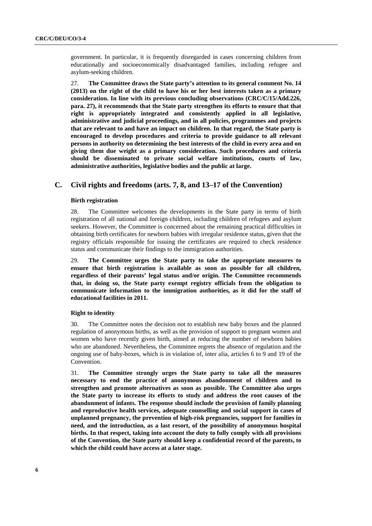government. In particular, it is frequently disregarded in cases concerning children from educationally and socioeconomically disadvantaged families, including refugee and asylum-seeking children.

27. **The Committee draws the State party's attention to its general comment No. 14 (2013) on the right of the child to have his or her best interests taken as a primary consideration. In line with its previous concluding observations (CRC/C/15/Add.226, para. 27), it recommends that the State party strengthen its efforts to ensure that that right is appropriately integrated and consistently applied in all legislative, administrative and judicial proceedings, and in all policies, programmes and projects that are relevant to and have an impact on children. In that regard, the State party is encouraged to develop procedures and criteria to provide guidance to all relevant persons in authority on determining the best interests of the child in every area and on giving them due weight as a primary consideration. Such procedures and criteria should be disseminated to private social welfare institutions, courts of law, administrative authorities, legislative bodies and the public at large.** 

## **C. Civil rights and freedoms (arts. 7, 8, and 13–17 of the Convention)**

#### **Birth registration**

28. The Committee welcomes the developments in the State party in terms of birth registration of all national and foreign children, including children of refugees and asylum seekers. However, the Committee is concerned about the remaining practical difficulties in obtaining birth certificates for newborn babies with irregular residence status, given that the registry officials responsible for issuing the certificates are required to check residence status and communicate their findings to the immigration authorities.

29. **The Committee urges the State party to take the appropriate measures to ensure that birth registration is available as soon as possible for all children, regardless of their parents' legal status and/or origin. The Committee recommends that, in doing so, the State party exempt registry officials from the obligation to communicate information to the immigration authorities, as it did for the staff of educational facilities in 2011.** 

#### **Right to identity**

30. The Committee notes the decision not to establish new baby boxes and the planned regulation of anonymous births, as well as the provision of support to pregnant women and women who have recently given birth, aimed at reducing the number of newborn babies who are abandoned. Nevertheless, the Committee regrets the absence of regulation and the ongoing use of baby-boxes, which is in violation of, inter alia, articles 6 to 9 and 19 of the Convention.

31. **The Committee strongly urges the State party to take all the measures necessary to end the practice of anonymous abandonment of children and to strengthen and promote alternatives as soon as possible. The Committee also urges the State party to increase its efforts to study and address the root causes of the abandonment of infants. The response should include the provision of family planning and reproductive health services, adequate counselling and social support in cases of unplanned pregnancy, the prevention of high-risk pregnancies, support for families in need, and the introduction, as a last resort, of the possibility of anonymous hospital births. In that respect, taking into account the duty to fully comply with all provisions of the Convention, the State party should keep a confidential record of the parents, to which the child could have access at a later stage.**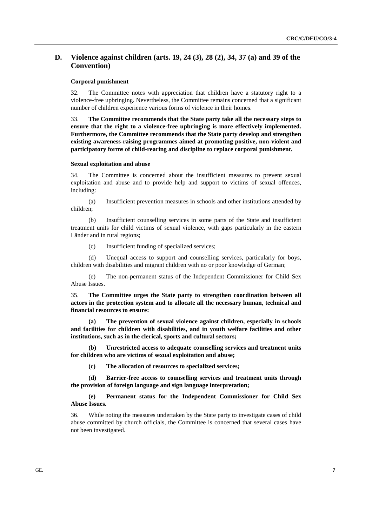## **D. Violence against children (arts. 19, 24 (3), 28 (2), 34, 37 (a) and 39 of the Convention)**

#### **Corporal punishment**

32. The Committee notes with appreciation that children have a statutory right to a violence-free upbringing. Nevertheless, the Committee remains concerned that a significant number of children experience various forms of violence in their homes.

33. **The Committee recommends that the State party take all the necessary steps to ensure that the right to a violence-free upbringing is more effectively implemented. Furthermore, the Committee recommends that the State party develop and strengthen existing awareness-raising programmes aimed at promoting positive, non-violent and participatory forms of child-rearing and discipline to replace corporal punishment.** 

#### **Sexual exploitation and abuse**

34. The Committee is concerned about the insufficient measures to prevent sexual exploitation and abuse and to provide help and support to victims of sexual offences, including:

(a) Insufficient prevention measures in schools and other institutions attended by children;

(b) Insufficient counselling services in some parts of the State and insufficient treatment units for child victims of sexual violence, with gaps particularly in the eastern Länder and in rural regions;

(c) Insufficient funding of specialized services;

(d) Unequal access to support and counselling services, particularly for boys, children with disabilities and migrant children with no or poor knowledge of German;

(e) The non-permanent status of the Independent Commissioner for Child Sex Abuse Issues.

35. **The Committee urges the State party to strengthen coordination between all actors in the protection system and to allocate all the necessary human, technical and financial resources to ensure:** 

**(a) The prevention of sexual violence against children, especially in schools and facilities for children with disabilities, and in youth welfare facilities and other institutions, such as in the clerical, sports and cultural sectors;** 

**(b) Unrestricted access to adequate counselling services and treatment units for children who are victims of sexual exploitation and abuse;** 

**(c) The allocation of resources to specialized services;** 

**(d) Barrier-free access to counselling services and treatment units through the provision of foreign language and sign language interpretation;** 

**(e) Permanent status for the Independent Commissioner for Child Sex Abuse Issues.** 

36. While noting the measures undertaken by the State party to investigate cases of child abuse committed by church officials, the Committee is concerned that several cases have not been investigated.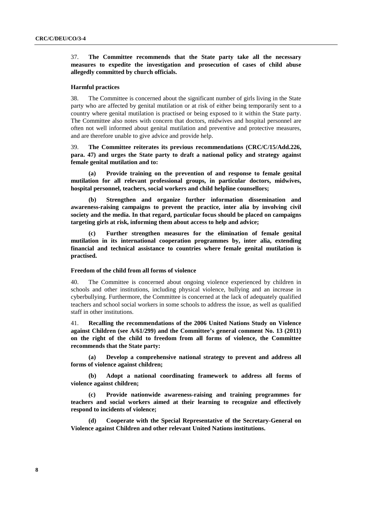37. **The Committee recommends that the State party take all the necessary measures to expedite the investigation and prosecution of cases of child abuse allegedly committed by church officials.** 

#### **Harmful practices**

38. The Committee is concerned about the significant number of girls living in the State party who are affected by genital mutilation or at risk of either being temporarily sent to a country where genital mutilation is practised or being exposed to it within the State party. The Committee also notes with concern that doctors, midwives and hospital personnel are often not well informed about genital mutilation and preventive and protective measures, and are therefore unable to give advice and provide help.

39. **The Committee reiterates its previous recommendations (CRC/C/15/Add.226, para. 47) and urges the State party to draft a national policy and strategy against female genital mutilation and to:** 

Provide training on the prevention of and response to female genital **mutilation for all relevant professional groups, in particular doctors, midwives, hospital personnel, teachers, social workers and child helpline counsellors;** 

**(b) Strengthen and organize further information dissemination and awareness-raising campaigns to prevent the practice, inter alia by involving civil society and the media. In that regard, particular focus should be placed on campaigns targeting girls at risk, informing them about access to help and advice;** 

Further strengthen measures for the elimination of female genital **mutilation in its international cooperation programmes by, inter alia, extending financial and technical assistance to countries where female genital mutilation is practised.** 

#### **Freedom of the child from all forms of violence**

40. The Committee is concerned about ongoing violence experienced by children in schools and other institutions, including physical violence, bullying and an increase in cyberbullying. Furthermore, the Committee is concerned at the lack of adequately qualified teachers and school social workers in some schools to address the issue, as well as qualified staff in other institutions.

41. **Recalling the recommendations of the 2006 United Nations Study on Violence against Children (see A/61/299) and the Committee's general comment No. 13 (2011) on the right of the child to freedom from all forms of violence, the Committee recommends that the State party:** 

**(a) Develop a comprehensive national strategy to prevent and address all forms of violence against children;** 

**(b) Adopt a national coordinating framework to address all forms of violence against children;** 

**(c) Provide nationwide awareness-raising and training programmes for teachers and social workers aimed at their learning to recognize and effectively respond to incidents of violence;** 

**(d) Cooperate with the Special Representative of the Secretary-General on Violence against Children and other relevant United Nations institutions.**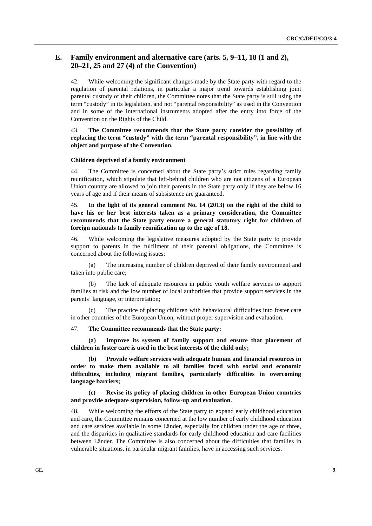## **E. Family environment and alternative care (arts. 5, 9–11, 18 (1 and 2), 20–21, 25 and 27 (4) of the Convention)**

42. While welcoming the significant changes made by the State party with regard to the regulation of parental relations, in particular a major trend towards establishing joint parental custody of their children, the Committee notes that the State party is still using the term "custody" in its legislation, and not "parental responsibility" as used in the Convention and in some of the international instruments adopted after the entry into force of the Convention on the Rights of the Child.

43. **The Committee recommends that the State party consider the possibility of replacing the term "custody" with the term "parental responsibility", in line with the object and purpose of the Convention.** 

### **Children deprived of a family environment**

44. The Committee is concerned about the State party's strict rules regarding family reunification, which stipulate that left-behind children who are not citizens of a European Union country are allowed to join their parents in the State party only if they are below 16 years of age and if their means of subsistence are guaranteed.

45. **In the light of its general comment No. 14 (2013) on the right of the child to have his or her best interests taken as a primary consideration, the Committee recommends that the State party ensure a general statutory right for children of foreign nationals to family reunification up to the age of 18.** 

46. While welcoming the legislative measures adopted by the State party to provide support to parents in the fulfilment of their parental obligations, the Committee is concerned about the following issues:

(a) The increasing number of children deprived of their family environment and taken into public care;

(b) The lack of adequate resources in public youth welfare services to support families at risk and the low number of local authorities that provide support services in the parents' language, or interpretation;

(c) The practice of placing children with behavioural difficulties into foster care in other countries of the European Union, without proper supervision and evaluation.

#### 47. **The Committee recommends that the State party:**

**(a) Improve its system of family support and ensure that placement of children in foster care is used in the best interests of the child only;** 

**(b) Provide welfare services with adequate human and financial resources in order to make them available to all families faced with social and economic difficulties, including migrant families, particularly difficulties in overcoming language barriers;** 

### **(c) Revise its policy of placing children in other European Union countries and provide adequate supervision, follow-up and evaluation.**

48. While welcoming the efforts of the State party to expand early childhood education and care, the Committee remains concerned at the low number of early childhood education and care services available in some Länder, especially for children under the age of three, and the disparities in qualitative standards for early childhood education and care facilities between Länder. The Committee is also concerned about the difficulties that families in vulnerable situations, in particular migrant families, have in accessing such services.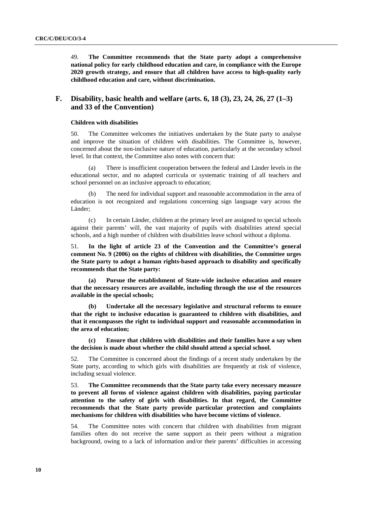49. **The Committee recommends that the State party adopt a comprehensive national policy for early childhood education and care, in compliance with the Europe 2020 growth strategy, and ensure that all children have access to high-quality early childhood education and care, without discrimination.** 

## **F. Disability, basic health and welfare (arts. 6, 18 (3), 23, 24, 26, 27 (1–3) and 33 of the Convention)**

#### **Children with disabilities**

50. The Committee welcomes the initiatives undertaken by the State party to analyse and improve the situation of children with disabilities. The Committee is, however, concerned about the non-inclusive nature of education, particularly at the secondary school level. In that context, the Committee also notes with concern that:

There is insufficient cooperation between the federal and Länder levels in the educational sector, and no adapted curricula or systematic training of all teachers and school personnel on an inclusive approach to education;

The need for individual support and reasonable accommodation in the area of education is not recognized and regulations concerning sign language vary across the Länder;

(c) In certain Länder, children at the primary level are assigned to special schools against their parents' will, the vast majority of pupils with disabilities attend special schools, and a high number of children with disabilities leave school without a diploma.

51. **In the light of article 23 of the Convention and the Committee's general comment No. 9 (2006) on the rights of children with disabilities, the Committee urges the State party to adopt a human rights-based approach to disability and specifically recommends that the State party:** 

Pursue the establishment of State-wide inclusive education and ensure **that the necessary resources are available, including through the use of the resources available in the special schools;** 

**(b) Undertake all the necessary legislative and structural reforms to ensure that the right to inclusive education is guaranteed to children with disabilities, and that it encompasses the right to individual support and reasonable accommodation in the area of education;** 

**(c) Ensure that children with disabilities and their families have a say when the decision is made about whether the child should attend a special school.** 

52. The Committee is concerned about the findings of a recent study undertaken by the State party, according to which girls with disabilities are frequently at risk of violence, including sexual violence.

53. **The Committee recommends that the State party take every necessary measure to prevent all forms of violence against children with disabilities, paying particular attention to the safety of girls with disabilities. In that regard, the Committee recommends that the State party provide particular protection and complaints mechanisms for children with disabilities who have become victims of violence.** 

54. The Committee notes with concern that children with disabilities from migrant families often do not receive the same support as their peers without a migration background, owing to a lack of information and/or their parents' difficulties in accessing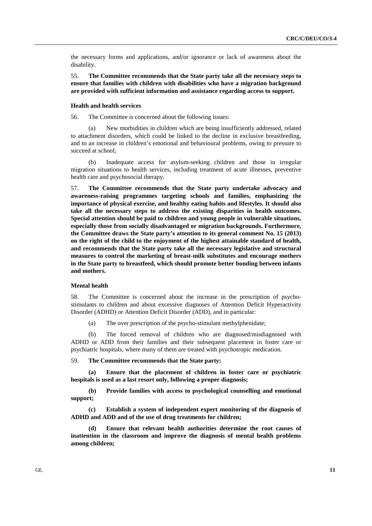the necessary forms and applications, and/or ignorance or lack of awareness about the disability.

55. **The Committee recommends that the State party take all the necessary steps to ensure that families with children with disabilities who have a migration background are provided with sufficient information and assistance regarding access to support.** 

#### **Health and health services**

56. The Committee is concerned about the following issues:

(a) New morbidities in children which are being insufficiently addressed, related to attachment disorders, which could be linked to the decline in exclusive breastfeeding, and to an increase in children's emotional and behavioural problems, owing to pressure to succeed at school;

(b) Inadequate access for asylum-seeking children and those in irregular migration situations to health services, including treatment of acute illnesses, preventive health care and psychosocial therapy.

57. **The Committee recommends that the State party undertake advocacy and awareness-raising programmes targeting schools and families, emphasizing the importance of physical exercise, and healthy eating habits and lifestyles. It should also take all the necessary steps to address the existing disparities in health outcomes. Special attention should be paid to children and young people in vulnerable situations, especially those from socially disadvantaged or migration backgrounds. Furthermore, the Committee draws the State party's attention to its general comment No. 15 (2013) on the right of the child to the enjoyment of the highest attainable standard of health, and recommends that the State party take all the necessary legislative and structural measures to control the marketing of breast-milk substitutes and encourage mothers in the State party to breastfeed, which should promote better bonding between infants and mothers.** 

#### **Mental health**

58. The Committee is concerned about the increase in the prescription of psychostimulants to children and about excessive diagnoses of Attention Deficit Hyperactivity Disorder (ADHD) or Attention Deficit Disorder (ADD), and in particular:

(a) The over prescription of the psycho-stimulant methylphenidate;

(b) The forced removal of children who are diagnosed/misdiagnosed with ADHD or ADD from their families and their subsequent placement in foster care or psychiatric hospitals, where many of them are treated with psychotropic medication.

#### 59. **The Committee recommends that the State party:**

**(a) Ensure that the placement of children in foster care or psychiatric hospitals is used as a last resort only, following a proper diagnosis;** 

**(b) Provide families with access to psychological counselling and emotional support;** 

**(c) Establish a system of independent expert monitoring of the diagnosis of ADHD and ADD and of the use of drug treatments for children;** 

**(d) Ensure that relevant health authorities determine the root causes of inattention in the classroom and improve the diagnosis of mental health problems among children;**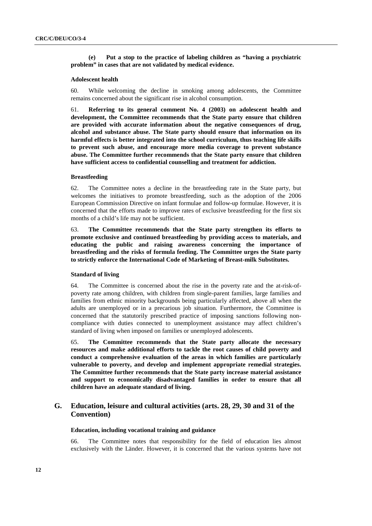**(e) Put a stop to the practice of labeling children as "having a psychiatric problem" in cases that are not validated by medical evidence.** 

#### **Adolescent health**

60. While welcoming the decline in smoking among adolescents, the Committee remains concerned about the significant rise in alcohol consumption.

61. **Referring to its general comment No. 4 (2003) on adolescent health and development, the Committee recommends that the State party ensure that children are provided with accurate information about the negative consequences of drug, alcohol and substance abuse. The State party should ensure that information on its harmful effects is better integrated into the school curriculum, thus teaching life skills to prevent such abuse, and encourage more media coverage to prevent substance abuse. The Committee further recommends that the State party ensure that children have sufficient access to confidential counselling and treatment for addiction.** 

#### **Breastfeeding**

62. The Committee notes a decline in the breastfeeding rate in the State party, but welcomes the initiatives to promote breastfeeding, such as the adoption of the 2006 European Commission Directive on infant formulae and follow-up formulae. However, it is concerned that the efforts made to improve rates of exclusive breastfeeding for the first six months of a child's life may not be sufficient.

63. **The Committee recommends that the State party strengthen its efforts to promote exclusive and continued breastfeeding by providing access to materials, and educating the public and raising awareness concerning the importance of breastfeeding and the risks of formula feeding. The Committee urges the State party to strictly enforce the International Code of Marketing of Breast-milk Substitutes.** 

#### **Standard of living**

64. The Committee is concerned about the rise in the poverty rate and the at-risk-ofpoverty rate among children, with children from single-parent families, large families and families from ethnic minority backgrounds being particularly affected, above all when the adults are unemployed or in a precarious job situation. Furthermore, the Committee is concerned that the statutorily prescribed practice of imposing sanctions following noncompliance with duties connected to unemployment assistance may affect children's standard of living when imposed on families or unemployed adolescents.

65. **The Committee recommends that the State party allocate the necessary resources and make additional efforts to tackle the root causes of child poverty and conduct a comprehensive evaluation of the areas in which families are particularly vulnerable to poverty, and develop and implement appropriate remedial strategies. The Committee further recommends that the State party increase material assistance and support to economically disadvantaged families in order to ensure that all children have an adequate standard of living.** 

## **G. Education, leisure and cultural activities (arts. 28, 29, 30 and 31 of the Convention)**

#### **Education, including vocational training and guidance**

66. The Committee notes that responsibility for the field of education lies almost exclusively with the Länder. However, it is concerned that the various systems have not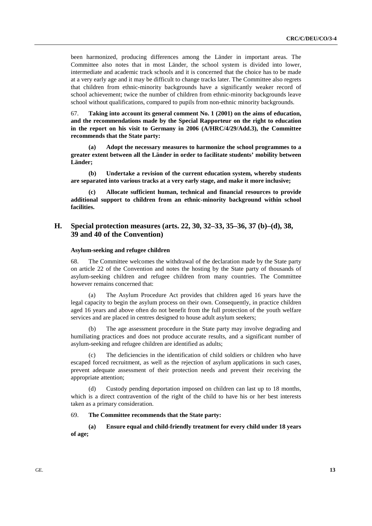been harmonized, producing differences among the Länder in important areas. The Committee also notes that in most Länder, the school system is divided into lower, intermediate and academic track schools and it is concerned that the choice has to be made at a very early age and it may be difficult to change tracks later. The Committee also regrets that children from ethnic-minority backgrounds have a significantly weaker record of school achievement; twice the number of children from ethnic-minority backgrounds leave school without qualifications, compared to pupils from non-ethnic minority backgrounds.

67. **Taking into account its general comment No. 1 (2001) on the aims of education, and the recommendations made by the Special Rapporteur on the right to education in the report on his visit to Germany in 2006 (A/HRC/4/29/Add.3), the Committee recommends that the State party:** 

**(a) Adopt the necessary measures to harmonize the school programmes to a greater extent between all the Länder in order to facilitate students' mobility between Länder;** 

**(b) Undertake a revision of the current education system, whereby students are separated into various tracks at a very early stage, and make it more inclusive;** 

**(c) Allocate sufficient human, technical and financial resources to provide additional support to children from an ethnic-minority background within school facilities.** 

## **H. Special protection measures (arts. 22, 30, 32–33, 35–36, 37 (b)–(d), 38, 39 and 40 of the Convention)**

### **Asylum-seeking and refugee children**

The Committee welcomes the withdrawal of the declaration made by the State party on article 22 of the Convention and notes the hosting by the State party of thousands of asylum-seeking children and refugee children from many countries. The Committee however remains concerned that:

(a) The Asylum Procedure Act provides that children aged 16 years have the legal capacity to begin the asylum process on their own. Consequently, in practice children aged 16 years and above often do not benefit from the full protection of the youth welfare services and are placed in centres designed to house adult asylum seekers;

(b) The age assessment procedure in the State party may involve degrading and humiliating practices and does not produce accurate results, and a significant number of asylum-seeking and refugee children are identified as adults;

(c) The deficiencies in the identification of child soldiers or children who have escaped forced recruitment, as well as the rejection of asylum applications in such cases, prevent adequate assessment of their protection needs and prevent their receiving the appropriate attention;

(d) Custody pending deportation imposed on children can last up to 18 months, which is a direct contravention of the right of the child to have his or her best interests taken as a primary consideration.

#### 69. **The Committee recommends that the State party:**

**(a) Ensure equal and child-friendly treatment for every child under 18 years of age;**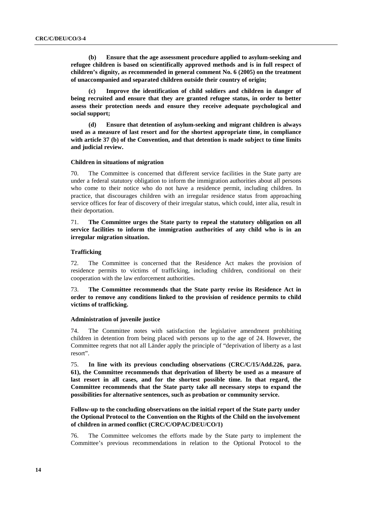**(b) Ensure that the age assessment procedure applied to asylum-seeking and refugee children is based on scientifically approved methods and is in full respect of children's dignity, as recommended in general comment No. 6 (2005) on the treatment of unaccompanied and separated children outside their country of origin;** 

**(c) Improve the identification of child soldiers and children in danger of being recruited and ensure that they are granted refugee status, in order to better assess their protection needs and ensure they receive adequate psychological and social support;** 

**(d) Ensure that detention of asylum-seeking and migrant children is always used as a measure of last resort and for the shortest appropriate time, in compliance with article 37 (b) of the Convention, and that detention is made subject to time limits and judicial review.** 

#### **Children in situations of migration**

70. The Committee is concerned that different service facilities in the State party are under a federal statutory obligation to inform the immigration authorities about all persons who come to their notice who do not have a residence permit, including children. In practice, that discourages children with an irregular residence status from approaching service offices for fear of discovery of their irregular status, which could, inter alia, result in their deportation.

## 71. **The Committee urges the State party to repeal the statutory obligation on all service facilities to inform the immigration authorities of any child who is in an irregular migration situation.**

### **Trafficking**

72. The Committee is concerned that the Residence Act makes the provision of residence permits to victims of trafficking, including children, conditional on their cooperation with the law enforcement authorities.

73. **The Committee recommends that the State party revise its Residence Act in order to remove any conditions linked to the provision of residence permits to child victims of trafficking.** 

#### **Administration of juvenile justice**

74. The Committee notes with satisfaction the legislative amendment prohibiting children in detention from being placed with persons up to the age of 24. However, the Committee regrets that not all Länder apply the principle of "deprivation of liberty as a last resort".

75. **In line with its previous concluding observations (CRC/C/15/Add.226, para. 61), the Committee recommends that deprivation of liberty be used as a measure of last resort in all cases, and for the shortest possible time. In that regard, the Committee recommends that the State party take all necessary steps to expand the possibilities for alternative sentences, such as probation or community service.** 

**Follow-up to the concluding observations on the initial report of the State party under the Optional Protocol to the Convention on the Rights of the Child on the involvement of children in armed conflict (CRC/C/OPAC/DEU/CO/1)** 

76. The Committee welcomes the efforts made by the State party to implement the Committee's previous recommendations in relation to the Optional Protocol to the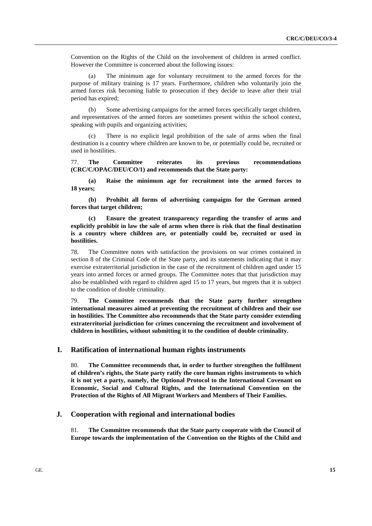Convention on the Rights of the Child on the involvement of children in armed conflict. However the Committee is concerned about the following issues:

(a) The minimum age for voluntary recruitment to the armed forces for the purpose of military training is 17 years. Furthermore, children who voluntarily join the armed forces risk becoming liable to prosecution if they decide to leave after their trial period has expired;

(b) Some advertising campaigns for the armed forces specifically target children, and representatives of the armed forces are sometimes present within the school context, speaking with pupils and organizing activities;

There is no explicit legal prohibition of the sale of arms when the final destination is a country where children are known to be, or potentially could be, recruited or used in hostilities.

77. **The Committee reiterates its previous recommendations (CRC/C/OPAC/DEU/CO/1) and recommends that the State party:** 

**(a) Raise the minimum age for recruitment into the armed forces to 18 years;** 

**(b) Prohibit all forms of advertising campaigns for the German armed forces that target children;** 

**(c) Ensure the greatest transparency regarding the transfer of arms and explicitly prohibit in law the sale of arms when there is risk that the final destination is a country where children are, or potentially could be, recruited or used in hostilities.** 

78. The Committee notes with satisfaction the provisions on war crimes contained in section 8 of the Criminal Code of the State party, and its statements indicating that it may exercise extraterritorial jurisdiction in the case of the recruitment of children aged under 15 years into armed forces or armed groups. The Committee notes that that jurisdiction may also be established with regard to children aged 15 to 17 years, but regrets that it is subject to the condition of double criminality.

79. **The Committee recommends that the State party further strengthen international measures aimed at preventing the recruitment of children and their use in hostilities. The Committee also recommends that the State party consider extending extraterritorial jurisdiction for crimes concerning the recruitment and involvement of children in hostilities, without submitting it to the condition of double criminality.** 

### **I. Ratification of international human rights instruments**

80. **The Committee recommends that, in order to further strengthen the fulfilment of children's rights, the State party ratify the core human rights instruments to which it is not yet a party, namely, the Optional Protocol to the International Covenant on Economic, Social and Cultural Rights, and the International Convention on the Protection of the Rights of All Migrant Workers and Members of Their Families.** 

## **J. Cooperation with regional and international bodies**

81. **The Committee recommends that the State party cooperate with the Council of Europe towards the implementation of the Convention on the Rights of the Child and**